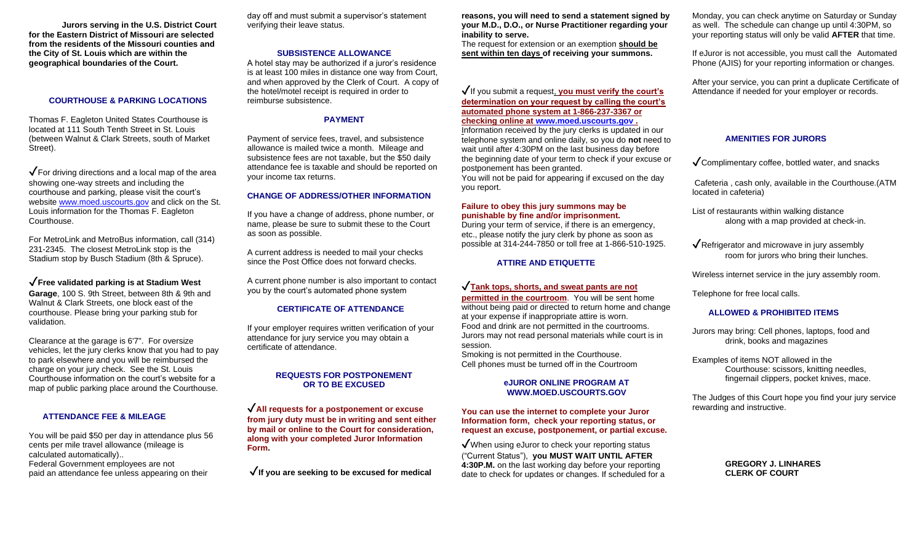**Jurors serving in the U.S. District Court for the Eastern District of Missouri are selected from the residents of the Missouri counties and the City of St. Louis which are within the geographical boundaries of the Court.**

### **COURTHOUSE & PARKING LOCATIONS**

Thomas F. Eagleton United States Courthouse is located at 111 South Tenth Street in St. Louis (between Walnut & Clark Streets, south of Market Street).

 $\sqrt{\frac{1}{1}}$  For driving directions and a local map of the area showing one-way streets and including the courthouse and parking, please visit the court's websit[e www.moed.uscourts.gov](http://www.moed.uscourts.gov/) and click on the St. Louis information for the Thomas F. Eagleton Courthouse.

For MetroLink and MetroBus information, call (314) 231-2345. The closest MetroLink stop is the Stadium stop by Busch Stadium (8th & Spruce).

✓**Free validated parking is at Stadium West Garage**, 100 S. 9th Street, between 8th & 9th and Walnut & Clark Streets, one block east of the courthouse. Please bring your parking stub for validation.

Clearance at the garage is 6'7". For oversize vehicles, let the jury clerks know that you had to pay to park elsewhere and you will be reimbursed the charge on your jury check. See the St. Louis Courthouse information on the court's website for a map of public parking place around the Courthouse.

### **ATTENDANCE FEE & MILEAGE**

You will be paid \$50 per day in attendance plus 56 cents per mile travel allowance (mileage is calculated automatically).. Federal Government employees are not paid an attendance fee unless appearing on their

day off and must submit a supervisor's statement verifying their leave status.

#### **SUBSISTENCE ALLOWANCE**

A hotel stay may be authorized if a juror's residence is at least 100 miles in distance one way from Court, and when approved by the Clerk of Court. A copy of the hotel/motel receipt is required in order to reimburse subsistence.

## **PAYMENT**

Payment of service fees, travel, and subsistence allowance is mailed twice a month. Mileage and subsistence fees are not taxable, but the \$50 daily attendance fee is taxable and should be reported on your income tax returns.

### **CHANGE OF ADDRESS/OTHER INFORMATION**

If you have a change of address, phone number, or name, please be sure to submit these to the Court as soon as possible.

A current address is needed to mail your checks since the Post Office does not forward checks.

A current phone number is also important to contact you by the court's automated phone system

### **CERTIFICATE OF ATTENDANCE**

If your employer requires written verification of your attendance for jury service you may obtain a certificate of attendance.

# **REQUESTS FOR POSTPONEMENT OR TO BE EXCUSED**

✓**All requests for a postponement or excuse from jury duty must be in writing and sent either by mail or online to the Court for consideration, along with your completed Juror Information Form.** 

✓**If you are seeking to be excused for medical** 

**reasons, you will need to send a statement signed by your M.D., D.O., or Nurse Practitioner regarding your inability to serve.** 

The request for extension or an exemption **should be sent within ten days of receiving your summons.**

## ✓If you submit a request, **you must verify the court's determination on your request by calling the court's automated phone system at 1-866-237-3367 or checking online at [www.moed.uscourts.gov](http://www.moed.uscourts.gov/) .**

Information received by the jury clerks is updated in our telephone system and online daily, so you do **not** need to wait until after 4:30PM on the last business day before the beginning date of your term to check if your excuse or postponement has been granted. You will not be paid for appearing if excused on the day you report.

## **Failure to obey this jury summons may be punishable by fine and/or imprisonment.**

During your term of service, if there is an emergency, etc., please notify the jury clerk by phone as soon as possible at 314-244-7850 or toll free at 1-866-510-1925.

#### **ATTIRE AND ETIQUETTE**

# ✓**Tank tops, shorts, and sweat pants are not**

**permitted in the courtroom**. You will be sent home without being paid or directed to return home and change at your expense if inappropriate attire is worn. Food and drink are not permitted in the courtrooms. Jurors may not read personal materials while court is in session.

Smoking is not permitted in the Courthouse. Cell phones must be turned off in the Courtroom

### **eJUROR ONLINE PROGRAM AT WWW.MOED.USCOURTS.GOV**

#### **You can use the internet to complete your Juror Information form, check your reporting status, or request an excuse, postponement, or partial excuse.**

 $\sqrt{\frac{1}{100}}$  When using eJuror to check your reporting status ("Current Status"), **you MUST WAIT UNTIL AFTER 4:30P.M.** on the last working day before your reporting date to check for updates or changes. If scheduled for a

Monday, you can check anytime on Saturday or Sunday as well. The schedule can change up until 4:30PM, so your reporting status will only be valid **AFTER** that time.

If eJuror is not accessible, you must call the Automated Phone (AJIS) for your reporting information or changes.

After your service, you can print a duplicate Certificate of Attendance if needed for your employer or records.

### **AMENITIES FOR JURORS**

 $\sqrt{\frac{1}{2}}$ Complimentary coffee, bottled water, and snacks

Cafeteria , cash only, available in the Courthouse.(ATM located in cafeteria)

List of restaurants within walking distance along with a map provided at check-in.

 $\sqrt{\mathsf{Refri}}$  ration and microwave in jury assembly room for jurors who bring their lunches.

Wireless internet service in the jury assembly room.

Telephone for free local calls.

#### **ALLOWED & PROHIBITED ITEMS**

Jurors may bring: Cell phones, laptops, food and drink, books and magazines

Examples of items NOT allowed in the Courthouse: scissors, knitting needles, fingernail clippers, pocket knives, mace.

The Judges of this Court hope you find your jury service rewarding and instructive.

> **GREGORY J. LINHARES CLERK OF COURT**